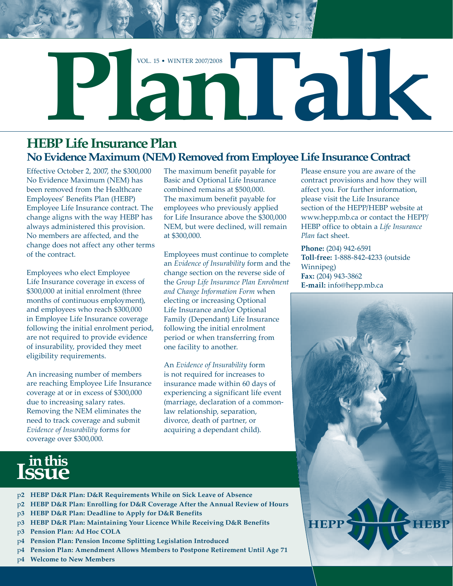

#### **HEBP Life Insurance Plan No Evidence Maximum (NEM) Removed from Employee Life Insurance Contract**

Effective October 2, 2007, the \$300,000 No Evidence Maximum (NEM) has been removed from the Healthcare Employees' Benefits Plan (HEBP) Employee Life Insurance contract. The change aligns with the way HEBP has always administered this provision. No members are affected, and the change does not affect any other terms of the contract.

Employees who elect Employee Life Insurance coverage in excess of \$300,000 at initial enrolment (three months of continuous employment), and employees who reach \$300,000 in Employee Life Insurance coverage following the initial enrolment period, are not required to provide evidence of insurability, provided they meet eligibility requirements.

An increasing number of members are reaching Employee Life Insurance coverage at or in excess of \$300,000 due to increasing salary rates. Removing the NEM eliminates the need to track coverage and submit *Evidence of Insurability* forms for coverage over \$300,000.

The maximum benefit payable for Basic and Optional Life Insurance combined remains at \$500,000. The maximum benefit payable for employees who previously applied for Life Insurance above the \$300,000 NEM, but were declined, will remain at \$300,000.

Employees must continue to complete an *Evidence of Insurability* form and the change section on the reverse side of the *Group Life Insurance Plan Enrolment and Change Information Form* when electing or increasing Optional Life Insurance and/or Optional Family (Dependant) Life Insurance following the initial enrolment period or when transferring from one facility to another.

An *Evidence of Insurability* form is not required for increases to insurance made within 60 days of experiencing a significant life event (marriage, declaration of a commonlaw relationship, separation, divorce, death of partner, or acquiring a dependant child).

Please ensure you are aware of the contract provisions and how they will affect you. For further information, please visit the Life Insurance section of the HEPP/HEBP website at www.hepp.mb.ca or contact the HEPP/ HEBP office to obtain a *Life Insurance Plan* fact sheet.

**Phone:** (204) 942-6591 **Toll**-**free:** 1-888-842-4233 (outside Winnipeg) **Fax:** (204) 943-3862 **E-mail:** info@hepp.mb.ca



# **in this Issue**

- p**2 HEBP D&R Plan: D&R Requirements While on Sick Leave of Absence**
- p**2 HEBP D&R Plan: Enrolling for D&R Coverage After the Annual Review of Hours**
- p**3 HEBP D&R Plan: Deadline to Apply for D&R Benefits**
- p**3 HEBP D&R Plan: Maintaining Your Licence While Receiving D&R Benefits**
- p**3 Pension Plan: Ad Hoc COLA**
- p**4 Pension Plan: Pension Income Splitting Legislation Introduced**
- p**4 Pension Plan: Amendment Allows Members to Postpone Retirement Until Age 7**
- p**4 Welcome to New Members**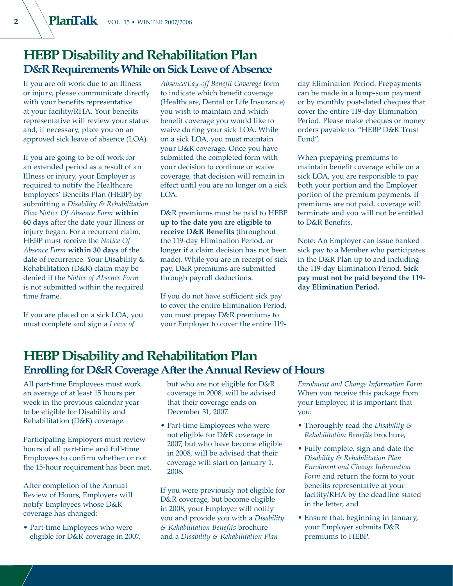#### **HEBP Disability and Rehabilitation Plan D&R Requirements While on Sick Leave of Absence**

If you are off work due to an Illness or injury, please communicate directly with your benefits representative at your facility/RHA. Your benefits representative will review your status and, if necessary, place you on an approved sick leave of absence (LOA).

If you are going to be off work for an extended period as a result of an Illness or injury, your Employer is required to notify the Healthcare Employees' Benefits Plan (HEBP) by submitting a *Disability & Rehabilitation Plan Notice Of Absence Form* **within 60 days** after the date your Illness or injury began. For a recurrent claim, HEBP must receive the *Notice Of Absence Form* **within 30 days** of the date of recurrence. Your Disability & Rehabilitation (D&R) claim may be denied if the *Notice of Absence Form* is not submitted within the required time frame.

If you are placed on a sick LOA, you must complete and sign a *Leave of* 

*Absence/Lay-off Benefit Coverage* form to indicate which benefit coverage (Healthcare, Dental or Life Insurance) you wish to maintain and which benefit coverage you would like to waive during your sick LOA. While on a sick LOA, you must maintain your D&R coverage. Once you have submitted the completed form with your decision to continue or waive coverage, that decision will remain in effect until you are no longer on a sick LOA.

D&R premiums must be paid to HEBP **up to the date you are eligible to receive D&R Benefits** (throughout the 119-day Elimination Period, or longer if a claim decision has not been made). While you are in receipt of sick pay, D&R premiums are submitted through payroll deductions.

If you do not have sufficient sick pay to cover the entire Elimination Period, you must prepay D&R premiums to your Employer to cover the entire 119day Elimination Period. Prepayments can be made in a lump-sum payment or by monthly post-dated cheques that cover the entire 119-day Elimination Period. Please make cheques or money orders payable to: "HEBP D&R Trust Fund".

When prepaying premiums to maintain benefit coverage while on a sick LOA, you are responsible to pay both your portion and the Employer portion of the premium payments. If premiums are not paid, coverage will terminate and you will not be entitled to D&R Benefits.

Note: An Employer can issue banked sick pay to a Member who participates in the D&R Plan up to and including the 119-day Elimination Period. **Sick pay must not be paid beyond the 119 day Elimination Period.**

## **HEBP Disability and Rehabilitation Plan Enrolling for D&R Coverage After the Annual Review of Hours**

All part-time Employees must work an average of at least 15 hours per week in the previous calendar year to be eligible for Disability and Rehabilitation (D&R) coverage.

Participating Employers must review hours of all part-time and full-time Employees to confirm whether or not the 15-hour requirement has been met.

After completion of the Annual Review of Hours, Employers will notify Employees whose D&R coverage has changed:

• Part-time Employees who were eligible for D&R coverage in 2007, but who are not eligible for D&R coverage in 2008, will be advised that their coverage ends on December 31, 2007.

• Part-time Employees who were not eligible for D&R coverage in 2007, but who have become eligible in 2008, will be advised that their coverage will start on January 1, 2008.

If you were previously not eligible for D&R coverage, but become eligible in 2008, your Employer will notify you and provide you with a *Disability & Rehabilitation Benefits* brochure and a *Disability & Rehabilitation Plan* 

*Enrolment and Change Information Form*. When you receive this package from your Employer, it is important that you:

- Thoroughly read the *Disability & Rehabilitation Benefits* brochure,
- Fully complete, sign and date the *Disability & Rehabilitation Plan Enrolment and Change Information Form* and return the form to your benefits representative at your facility/RHA by the deadline stated in the letter, and
- Ensure that, beginning in January, your Employer submits D&R premiums to HEBP.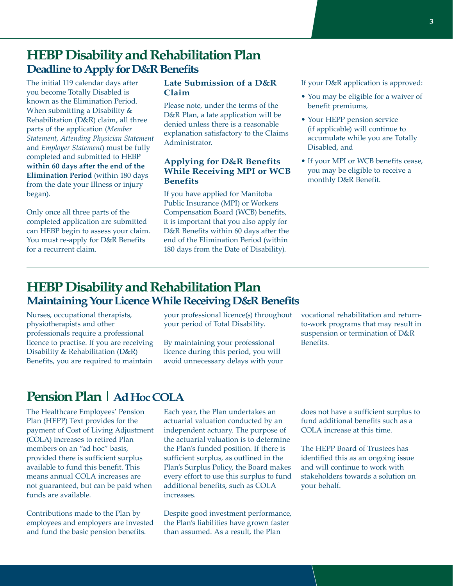#### **HEBP Disability and Rehabilitation Plan Deadline to Apply for D&R Benefits**

The initial 119 calendar days after you become Totally Disabled is known as the Elimination Period. When submitting a Disability & Rehabilitation (D&R) claim, all three parts of the application (*Member Statement*, *Attending Physician Statement* and *Employer Statement*) must be fully completed and submitted to HEBP **within 60 days after the end of the Elimination Period** (within 180 days from the date your Illness or injury began).

Only once all three parts of the completed application are submitted can HEBP begin to assess your claim. You must re-apply for D&R Benefits for a recurrent claim.

#### **Late Submission of a D&R Claim**

Please note, under the terms of the D&R Plan, a late application will be denied unless there is a reasonable explanation satisfactory to the Claims Administrator.

#### **Applying for D&R Benefits While Receiving MPI or WCB Benefits**

If you have applied for Manitoba Public Insurance (MPI) or Workers Compensation Board (WCB) benefits, it is important that you also apply for D&R Benefits within 60 days after the end of the Elimination Period (within 180 days from the Date of Disability).

If your D&R application is approved:

- You may be eligible for a waiver of benefit premiums,
- Your HEPP pension service (if applicable) will continue to accumulate while you are Totally Disabled, and
- If your MPI or WCB benefits cease, you may be eligible to receive a monthly D&R Benefit.

## **HEBP Disability and Rehabilitation Plan Maintaining Your Licence While Receiving D&R Benefits**

Nurses, occupational therapists, physiotherapists and other professionals require a professional licence to practise. If you are receiving Disability & Rehabilitation (D&R) Benefits, you are required to maintain

your professional licence(s) throughout your period of Total Disability.

By maintaining your professional licence during this period, you will avoid unnecessary delays with your vocational rehabilitation and returnto-work programs that may result in suspension or termination of D&R Benefits.

## **Pension Plan | Ad Hoc COLA**

The Healthcare Employees' Pension Plan (HEPP) Text provides for the payment of Cost of Living Adjustment (COLA) increases to retired Plan members on an "ad hoc" basis, provided there is sufficient surplus available to fund this benefit. This means annual COLA increases are not guaranteed, but can be paid when funds are available.

Contributions made to the Plan by employees and employers are invested and fund the basic pension benefits.

Each year, the Plan undertakes an actuarial valuation conducted by an independent actuary. The purpose of the actuarial valuation is to determine the Plan's funded position. If there is sufficient surplus, as outlined in the Plan's Surplus Policy, the Board makes every effort to use this surplus to fund additional benefits, such as COLA increases.

Despite good investment performance, the Plan's liabilities have grown faster than assumed. As a result, the Plan

does not have a sufficient surplus to fund additional benefits such as a COLA increase at this time.

The HEPP Board of Trustees has identified this as an ongoing issue and will continue to work with stakeholders towards a solution on your behalf.